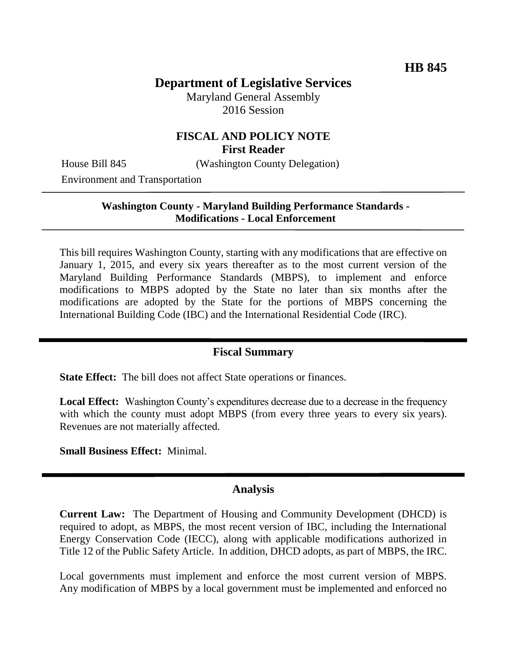# **Department of Legislative Services**

Maryland General Assembly 2016 Session

### **FISCAL AND POLICY NOTE First Reader**

House Bill 845 (Washington County Delegation)

Environment and Transportation

#### **Washington County - Maryland Building Performance Standards - Modifications - Local Enforcement**

This bill requires Washington County, starting with any modifications that are effective on January 1, 2015, and every six years thereafter as to the most current version of the Maryland Building Performance Standards (MBPS), to implement and enforce modifications to MBPS adopted by the State no later than six months after the modifications are adopted by the State for the portions of MBPS concerning the International Building Code (IBC) and the International Residential Code (IRC).

### **Fiscal Summary**

**State Effect:** The bill does not affect State operations or finances.

**Local Effect:** Washington County's expenditures decrease due to a decrease in the frequency with which the county must adopt MBPS (from every three years to every six years). Revenues are not materially affected.

**Small Business Effect:** Minimal.

#### **Analysis**

**Current Law:** The Department of Housing and Community Development (DHCD) is required to adopt, as MBPS, the most recent version of IBC, including the International Energy Conservation Code (IECC), along with applicable modifications authorized in Title 12 of the Public Safety Article. In addition, DHCD adopts, as part of MBPS, the IRC.

Local governments must implement and enforce the most current version of MBPS. Any modification of MBPS by a local government must be implemented and enforced no